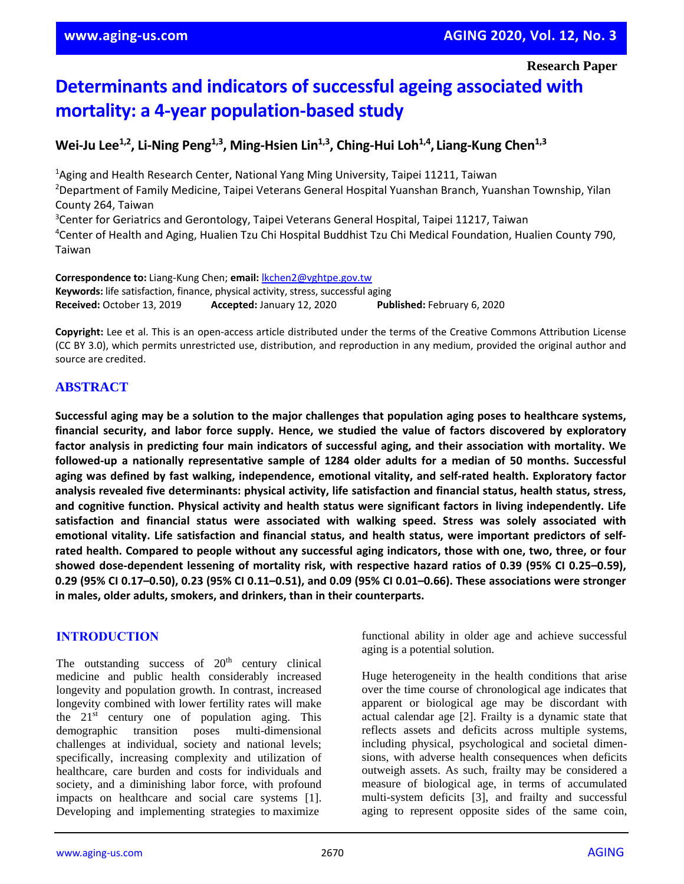**Research Paper**

# **Determinants and indicators of successful ageing associated with mortality: a 4-year population-based study**

**Wei-Ju Lee1,2, Li-Ning Peng1,3, Ming-Hsien Lin1,3, Ching-Hui Loh1,4 , Liang-Kung Chen1,3**

<sup>1</sup>Aging and Health Research Center, National Yang Ming University, Taipei 11211, Taiwan <sup>2</sup>Department of Family Medicine, Taipei Veterans General Hospital Yuanshan Branch, Yuanshan Township, Yilan County 264, Taiwan <sup>3</sup>Center for Geriatrics and Gerontology, Taipei Veterans General Hospital, Taipei 11217, Taiwan <sup>4</sup>Center of Health and Aging, Hualien Tzu Chi Hospital Buddhist Tzu Chi Medical Foundation, Hualien County 790,

**Correspondence to:** Liang-Kung Chen; **email:** [lkchen2@vghtpe.gov.tw](mailto:lkchen2@vghtpe.gov.tw) **Keywords:** life satisfaction, finance, physical activity, stress, successful aging **Received:** October 13, 2019 **Accepted:** January 12, 2020 **Published:** February 6, 2020

**Copyright:** Lee et al. This is an open-access article distributed under the terms of the Creative Commons Attribution License (CC BY 3.0), which permits unrestricted use, distribution, and reproduction in any medium, provided the original author and source are credited.

## **ABSTRACT**

Taiwan

Successful aging may be a solution to the major challenges that population aging poses to healthcare systems, **financial security, and labor force supply. Hence, we studied the value of factors discovered by exploratory factor analysis in predicting four main indicators of successful aging, and their association with mortality. We followed-up a nationally representative sample of 1284 older adults for a median of 50 months. Successful aging was defined by fast walking, independence, emotional vitality, and self-rated health. Exploratory factor analysis revealed five determinants: physical activity, life satisfaction and financial status, health status, stress, and cognitive function. Physical activity and health status were significant factors in living independently. Life satisfaction and financial status were associated with walking speed. Stress was solely associated with emotional vitality. Life satisfaction and financial status, and health status, were important predictors of self**rated health. Compared to people without any successful aging indicators, those with one, two, three, or four showed dose-dependent lessening of mortality risk, with respective hazard ratios of 0.39 (95% CI 0.25-0.59), 0.29 (95% CI 0.17-0.50), 0.23 (95% CI 0.11-0.51), and 0.09 (95% CI 0.01-0.66). These associations were stronger **in males, older adults, smokers, and drinkers, than in their counterparts.**

## **INTRODUCTION**

The outstanding success of  $20<sup>th</sup>$  century clinical medicine and public health considerably increased longevity and population growth. In contrast, increased longevity combined with lower fertility rates will make the  $21<sup>st</sup>$  century one of population aging. This demographic transition poses multi-dimensional challenges at individual, society and national levels; specifically, increasing complexity and utilization of healthcare, care burden and costs for individuals and society, and a diminishing labor force, with profound impacts on healthcare and social care systems [1]. Developing and implementing strategies to maximize

functional ability in older age and achieve successful aging is a potential solution.

Huge heterogeneity in the health conditions that arise over the time course of chronological age indicates that apparent or biological age may be discordant with actual calendar age [2]. Frailty is a dynamic state that reflects assets and deficits across multiple systems, including physical, psychological and societal dimensions, with adverse health consequences when deficits outweigh assets. As such, frailty may be considered a measure of biological age, in terms of accumulated multi-system deficits [3], and frailty and successful aging to represent opposite sides of the same coin,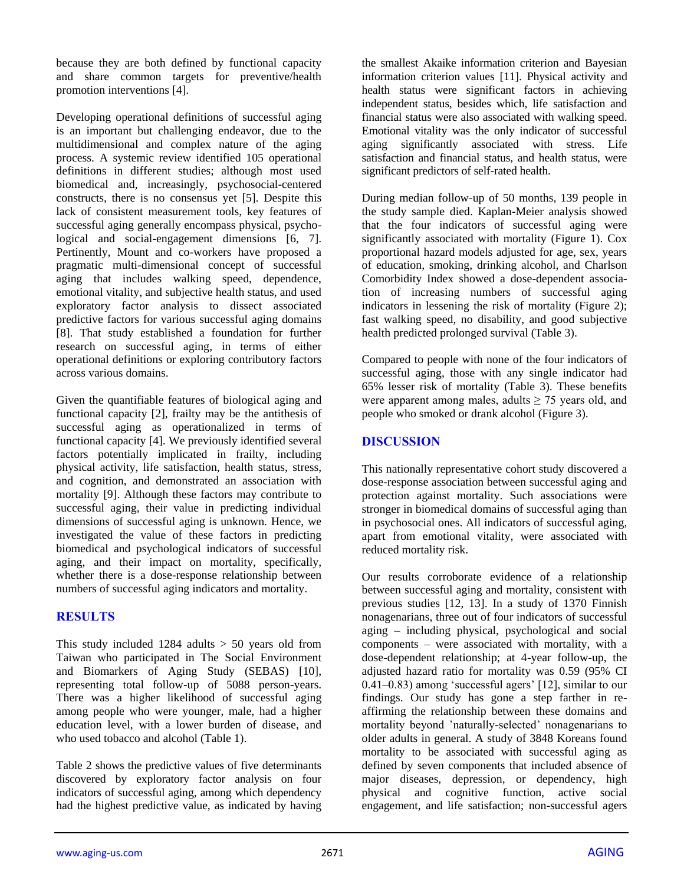because they are both defined by functional capacity and share common targets for preventive/health promotion interventions [4].

Developing operational definitions of successful aging is an important but challenging endeavor, due to the multidimensional and complex nature of the aging process. A systemic review identified 105 operational definitions in different studies; although most used biomedical and, increasingly, psychosocial-centered constructs, there is no consensus yet [5]. Despite this lack of consistent measurement tools, key features of successful aging generally encompass physical, psychological and social-engagement dimensions [6, 7]. Pertinently, Mount and co-workers have proposed a pragmatic multi-dimensional concept of successful aging that includes walking speed, dependence, emotional vitality, and subjective health status, and used exploratory factor analysis to dissect associated predictive factors for various successful aging domains [8]. That study established a foundation for further research on successful aging, in terms of either operational definitions or exploring contributory factors across various domains.

Given the quantifiable features of biological aging and functional capacity [2], frailty may be the antithesis of successful aging as operationalized in terms of functional capacity [4]. We previously identified several factors potentially implicated in frailty, including physical activity, life satisfaction, health status, stress, and cognition, and demonstrated an association with mortality [9]. Although these factors may contribute to successful aging, their value in predicting individual dimensions of successful aging is unknown. Hence, we investigated the value of these factors in predicting biomedical and psychological indicators of successful aging, and their impact on mortality, specifically, whether there is a dose-response relationship between numbers of successful aging indicators and mortality.

## **RESULTS**

This study included  $1284$  adults  $> 50$  years old from Taiwan who participated in The Social Environment and Biomarkers of Aging Study (SEBAS) [10], representing total follow-up of 5088 person-years. There was a higher likelihood of successful aging among people who were younger, male, had a higher education level, with a lower burden of disease, and who used tobacco and alcohol (Table 1).

Table 2 shows the predictive values of five determinants discovered by exploratory factor analysis on four indicators of successful aging, among which dependency had the highest predictive value, as indicated by having the smallest Akaike information criterion and Bayesian information criterion values [11]. Physical activity and health status were significant factors in achieving independent status, besides which, life satisfaction and financial status were also associated with walking speed. Emotional vitality was the only indicator of successful aging significantly associated with stress. Life satisfaction and financial status, and health status, were significant predictors of self-rated health.

During median follow-up of 50 months, 139 people in the study sample died. Kaplan-Meier analysis showed that the four indicators of successful aging were significantly associated with mortality (Figure 1). Cox proportional hazard models adjusted for age, sex, years of education, smoking, drinking alcohol, and Charlson Comorbidity Index showed a dose-dependent association of increasing numbers of successful aging indicators in lessening the risk of mortality (Figure 2); fast walking speed, no disability, and good subjective health predicted prolonged survival (Table 3).

Compared to people with none of the four indicators of successful aging, those with any single indicator had 65% lesser risk of mortality (Table 3). These benefits were apparent among males, adults  $\geq$  75 years old, and people who smoked or drank alcohol (Figure 3).

## **DISCUSSION**

This nationally representative cohort study discovered a dose-response association between successful aging and protection against mortality. Such associations were stronger in biomedical domains of successful aging than in psychosocial ones. All indicators of successful aging, apart from emotional vitality, were associated with reduced mortality risk.

Our results corroborate evidence of a relationship between successful aging and mortality, consistent with previous studies [12, 13]. In a study of 1370 Finnish nonagenarians, three out of four indicators of successful aging – including physical, psychological and social components – were associated with mortality, with a dose-dependent relationship; at 4-year follow-up, the adjusted hazard ratio for mortality was 0.59 (95% CI 0.41–0.83) among 'successful agers' [12], similar to our findings. Our study has gone a step farther in reaffirming the relationship between these domains and mortality beyond 'naturally-selected' nonagenarians to older adults in general. A study of 3848 Koreans found mortality to be associated with successful aging as defined by seven components that included absence of major diseases, depression, or dependency, high physical and cognitive function, active social engagement, and life satisfaction; non-successful agers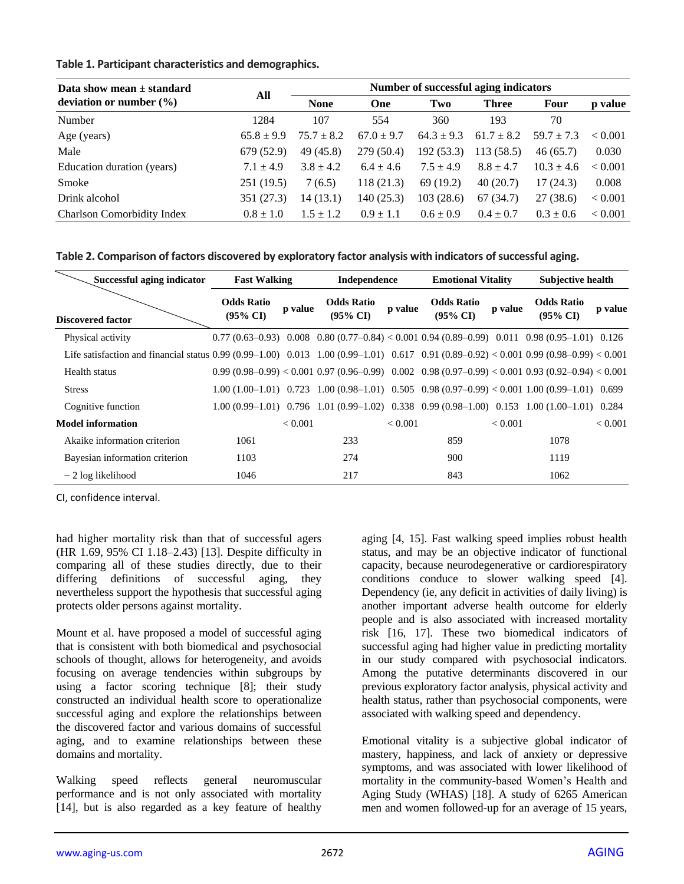#### **Table 1. Participant characteristics and demographics.**

| Data show mean $\pm$ standard     | All            | Number of successful aging indicators |                |                |                |                |         |  |
|-----------------------------------|----------------|---------------------------------------|----------------|----------------|----------------|----------------|---------|--|
| deviation or number $(\% )$       |                | <b>None</b>                           | One            | Two            | <b>Three</b>   | Four           | p value |  |
| Number                            | 1284           | 107                                   | 554            | 360            | 193            | 70             |         |  |
| Age (years)                       | $65.8 \pm 9.9$ | $75.7 \pm 8.2$                        | $67.0 \pm 9.7$ | $64.3 \pm 9.3$ | $61.7 \pm 8.2$ | $59.7 \pm 7.3$ | < 0.001 |  |
| Male                              | 679 (52.9)     | 49 (45.8)                             | 279 (50.4)     | 192 (53.3)     | 113(58.5)      | 46(65.7)       | 0.030   |  |
| Education duration (years)        | $7.1 \pm 4.9$  | $3.8 \pm 4.2$                         | $6.4 \pm 4.6$  | $7.5 \pm 4.9$  | $8.8 \pm 4.7$  | $10.3 \pm 4.6$ | < 0.001 |  |
| Smoke                             | 251(19.5)      | 7(6.5)                                | 118(21.3)      | 69(19.2)       | 40(20.7)       | 17(24.3)       | 0.008   |  |
| Drink alcohol                     | 351 (27.3)     | 14 (13.1)                             | 140 (25.3)     | 103(28.6)      | 67(34.7)       | 27(38.6)       | < 0.001 |  |
| <b>Charlson Comorbidity Index</b> | $0.8 \pm 1.0$  | $1.5 \pm 1.2$                         | $0.9 \pm 1.1$  | $0.6 \pm 0.9$  | $0.4 \pm 0.7$  | $0.3 \pm 0.6$  | < 0.001 |  |

| Table 2. Comparison of factors discovered by exploratory factor analysis with indicators of successful aging. |  |  |  |
|---------------------------------------------------------------------------------------------------------------|--|--|--|
|---------------------------------------------------------------------------------------------------------------|--|--|--|

| Successful aging indicator                                                                                                                         | <b>Fast Walking</b>                      |                | Independence                    |         | <b>Emotional Vitality</b>                                                                               |         | <b>Subjective health</b>                 |         |
|----------------------------------------------------------------------------------------------------------------------------------------------------|------------------------------------------|----------------|---------------------------------|---------|---------------------------------------------------------------------------------------------------------|---------|------------------------------------------|---------|
| <b>Discovered factor</b>                                                                                                                           | <b>Odds Ratio</b><br>$(95\% \text{ CI})$ | p value        | <b>Odds Ratio</b><br>$(95\%$ CI | p value | <b>Odds Ratio</b><br>$(95\% \text{ CI})$                                                                | p value | <b>Odds Ratio</b><br>$(95\% \text{ CI})$ | p value |
| Physical activity                                                                                                                                  |                                          |                |                                 |         | $0.77(0.63-0.93)$ $0.008$ $0.80(0.77-0.84) < 0.001$ $0.94(0.89-0.99)$ $0.011$ $0.98(0.95-1.01)$ $0.126$ |         |                                          |         |
| Life satisfaction and financial status $0.99 (0.99-1.00)$ $0.013$ $1.00 (0.99-1.01)$ $0.617$ $0.91 (0.89-0.92) < 0.001$ $0.99 (0.98-0.99) < 0.001$ |                                          |                |                                 |         |                                                                                                         |         |                                          |         |
| Health status                                                                                                                                      |                                          |                |                                 |         | $0.99(0.98-0.99) < 0.001$ $0.97(0.96-0.99)$ $0.002$ $0.98(0.97-0.99) < 0.001$ $0.93(0.92-0.94) < 0.001$ |         |                                          |         |
| <b>Stress</b>                                                                                                                                      |                                          |                |                                 |         | $1.00(1.00-1.01)$ 0.723 1.00 (0.98-1.01) 0.505 0.98 (0.97-0.99) < 0.001 1.00 (0.99-1.01) 0.699          |         |                                          |         |
| Cognitive function                                                                                                                                 |                                          |                |                                 |         | $1.00(0.99-1.01)$ $0.796$ $1.01(0.99-1.02)$ $0.338$ $0.99(0.98-1.00)$ $0.153$ $1.00(1.00-1.01)$ $0.284$ |         |                                          |         |
| <b>Model information</b>                                                                                                                           |                                          | ${}_{< 0.001}$ |                                 | < 0.001 |                                                                                                         | < 0.001 |                                          | < 0.001 |
| Akaike information criterion                                                                                                                       | 1061                                     |                | 233                             |         | 859                                                                                                     |         | 1078                                     |         |
| Bayesian information criterion                                                                                                                     | 1103                                     |                | 274                             |         | 900                                                                                                     |         | 1119                                     |         |
| $-2 \log$ likelihood                                                                                                                               | 1046                                     |                | 217                             |         | 843                                                                                                     |         | 1062                                     |         |

CI, confidence interval.

had higher mortality risk than that of successful agers (HR 1.69, 95% CI 1.18–2.43) [13]. Despite difficulty in comparing all of these studies directly, due to their differing definitions of successful aging, they nevertheless support the hypothesis that successful aging protects older persons against mortality.

Mount et al. have proposed a model of successful aging that is consistent with both biomedical and psychosocial schools of thought, allows for heterogeneity, and avoids focusing on average tendencies within subgroups by using a factor scoring technique [8]; their study constructed an individual health score to operationalize successful aging and explore the relationships between the discovered factor and various domains of successful aging, and to examine relationships between these domains and mortality.

Walking speed reflects general neuromuscular performance and is not only associated with mortality [14], but is also regarded as a key feature of healthy

aging [4, 15]. Fast walking speed implies robust health status, and may be an objective indicator of functional capacity, because neurodegenerative or cardiorespiratory conditions conduce to slower walking speed [4]. Dependency (ie, any deficit in activities of daily living) is another important adverse health outcome for elderly people and is also associated with increased mortality risk [16, 17]. These two biomedical indicators of successful aging had higher value in predicting mortality in our study compared with psychosocial indicators. Among the putative determinants discovered in our previous exploratory factor analysis, physical activity and health status, rather than psychosocial components, were associated with walking speed and dependency.

Emotional vitality is a subjective global indicator of mastery, happiness, and lack of anxiety or depressive symptoms, and was associated with lower likelihood of mortality in the community-based Women's Health and Aging Study (WHAS) [18]. A study of 6265 American men and women followed-up for an average of 15 years,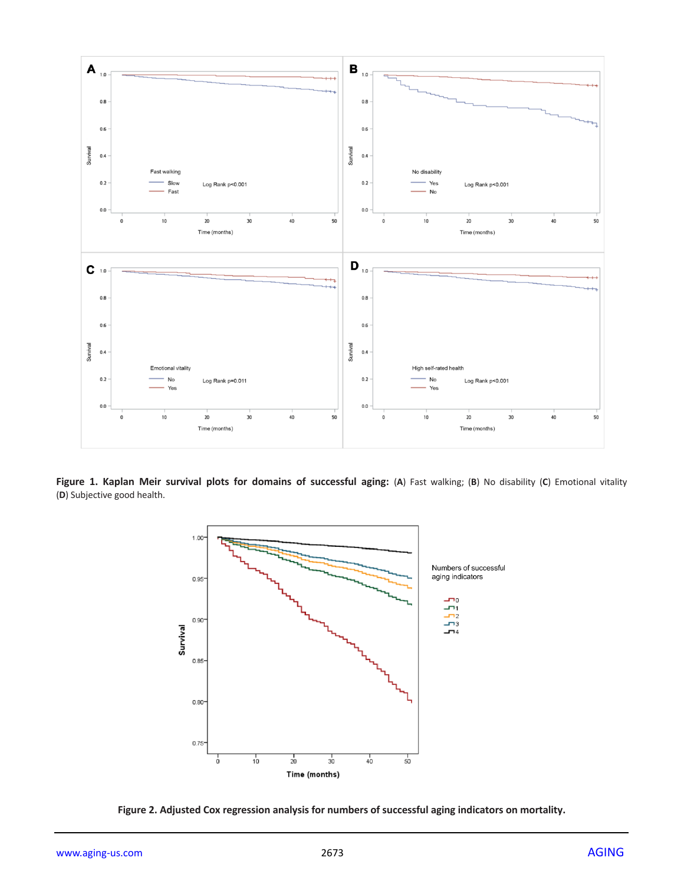

**Figure 1. Kaplan Meir survival plots for domains of successful aging:** (**A**) Fast walking; (**B**) No disability (**C**) Emotional vitality (**D**) Subjective good health.



**Figure 2. Adjusted Cox regression analysis for numbers of successful aging indicators on mortality.**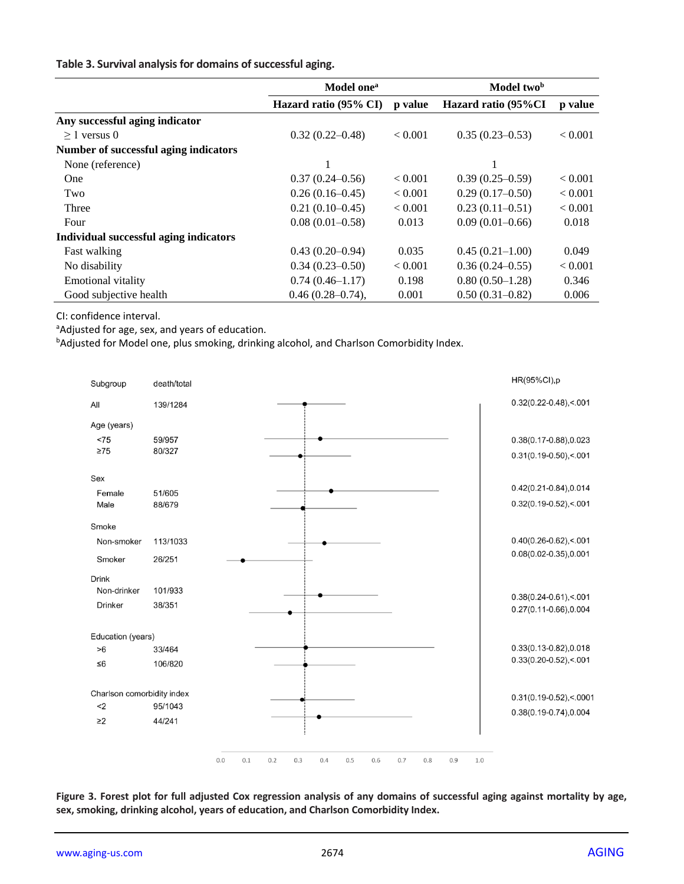#### **Table 3. Survival analysis for domains of successful aging.**

|                                        | Model one <sup>a</sup> |         | Model two <sup>b</sup> |                |
|----------------------------------------|------------------------|---------|------------------------|----------------|
|                                        | Hazard ratio (95% CI)  | p value | Hazard ratio (95%CI    | p value        |
| Any successful aging indicator         |                        |         |                        |                |
| $>1$ versus 0                          | $0.32(0.22 - 0.48)$    | < 0.001 | $0.35(0.23 - 0.53)$    | < 0.001        |
| Number of successful aging indicators  |                        |         |                        |                |
| None (reference)                       |                        |         | 1                      |                |
| One                                    | $0.37(0.24 - 0.56)$    | < 0.001 | $0.39(0.25-0.59)$      | ${}_{< 0.001}$ |
| Two                                    | $0.26(0.16-0.45)$      | < 0.001 | $0.29(0.17-0.50)$      | < 0.001        |
| Three                                  | $0.21(0.10-0.45)$      | < 0.001 | $0.23(0.11-0.51)$      | ${}< 0.001$    |
| Four                                   | $0.08(0.01-0.58)$      | 0.013   | $0.09(0.01-0.66)$      | 0.018          |
| Individual successful aging indicators |                        |         |                        |                |
| Fast walking                           | $0.43(0.20-0.94)$      | 0.035   | $0.45(0.21-1.00)$      | 0.049          |
| No disability                          | $0.34(0.23 - 0.50)$    | < 0.001 | $0.36(0.24 - 0.55)$    | ${}< 0.001$    |
| <b>Emotional vitality</b>              | $0.74(0.46 - 1.17)$    | 0.198   | $0.80(0.50-1.28)$      | 0.346          |
| Good subjective health                 | $0.46(0.28 - 0.74),$   | 0.001   | $0.50(0.31 - 0.82)$    | 0.006          |

CI: confidence interval.

aAdjusted for age, sex, and years of education.

bAdjusted for Model one, plus smoking, drinking alcohol, and Charlson Comorbidity Index.



**Figure 3. Forest plot for full adjusted Cox regression analysis of any domains of successful aging against mortality by age, sex, smoking, drinking alcohol, years of education, and Charlson Comorbidity Index.**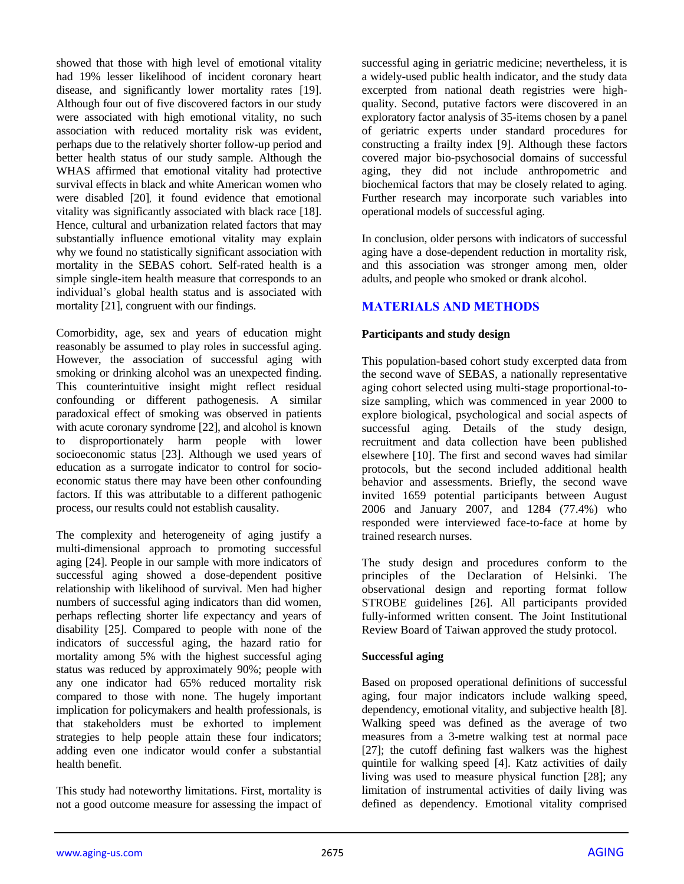showed that those with high level of emotional vitality had 19% lesser likelihood of incident coronary heart disease, and significantly lower mortality rates [19]. Although four out of five discovered factors in our study were associated with high emotional vitality, no such association with reduced mortality risk was evident, perhaps due to the relatively shorter follow-up period and better health status of our study sample. Although the WHAS affirmed that emotional vitality had protective survival effects in black and white American women who were disabled [20], it found evidence that emotional vitality was significantly associated with black race [18]. Hence, cultural and urbanization related factors that may substantially influence emotional vitality may explain why we found no statistically significant association with mortality in the SEBAS cohort. Self-rated health is a simple single-item health measure that corresponds to an individual's global health status and is associated with mortality [21], congruent with our findings.

Comorbidity, age, sex and years of education might reasonably be assumed to play roles in successful aging. However, the association of successful aging with smoking or drinking alcohol was an unexpected finding. This counterintuitive insight might reflect residual confounding or different pathogenesis. A similar paradoxical effect of smoking was observed in patients with acute coronary syndrome [22], and alcohol is known to disproportionately harm people with lower socioeconomic status [23]. Although we used years of education as a surrogate indicator to control for socioeconomic status there may have been other confounding factors. If this was attributable to a different pathogenic process, our results could not establish causality.

The complexity and heterogeneity of aging justify a multi-dimensional approach to promoting successful aging [24]. People in our sample with more indicators of successful aging showed a dose-dependent positive relationship with likelihood of survival. Men had higher numbers of successful aging indicators than did women, perhaps reflecting shorter life expectancy and years of disability [25]. Compared to people with none of the indicators of successful aging, the hazard ratio for mortality among 5% with the highest successful aging status was reduced by approximately 90%; people with any one indicator had 65% reduced mortality risk compared to those with none. The hugely important implication for policymakers and health professionals, is that stakeholders must be exhorted to implement strategies to help people attain these four indicators; adding even one indicator would confer a substantial health benefit.

This study had noteworthy limitations. First, mortality is not a good outcome measure for assessing the impact of successful aging in geriatric medicine; nevertheless, it is a widely-used public health indicator, and the study data excerpted from national death registries were highquality. Second, putative factors were discovered in an exploratory factor analysis of 35-items chosen by a panel of geriatric experts under standard procedures for constructing a frailty index [9]. Although these factors covered major bio-psychosocial domains of successful aging, they did not include anthropometric and biochemical factors that may be closely related to aging. Further research may incorporate such variables into operational models of successful aging.

In conclusion, older persons with indicators of successful aging have a dose-dependent reduction in mortality risk, and this association was stronger among men, older adults, and people who smoked or drank alcohol.

## **MATERIALS AND METHODS**

#### **Participants and study design**

This population-based cohort study excerpted data from the second wave of SEBAS, a nationally representative aging cohort selected using multi-stage proportional-tosize sampling, which was commenced in year 2000 to explore biological, psychological and social aspects of successful aging. Details of the study design, recruitment and data collection have been published elsewhere [10]. The first and second waves had similar protocols, but the second included additional health behavior and assessments. Briefly, the second wave invited 1659 potential participants between August 2006 and January 2007, and 1284 (77.4%) who responded were interviewed face-to-face at home by trained research nurses.

The study design and procedures conform to the principles of the Declaration of Helsinki. The observational design and reporting format follow STROBE guidelines [26]. All participants provided fully-informed written consent. The Joint Institutional Review Board of Taiwan approved the study protocol.

#### **Successful aging**

Based on proposed operational definitions of successful aging, four major indicators include walking speed, dependency, emotional vitality, and subjective health [8]. Walking speed was defined as the average of two measures from a 3-metre walking test at normal pace [27]; the cutoff defining fast walkers was the highest quintile for walking speed [4]. Katz activities of daily living was used to measure physical function [28]; any limitation of instrumental activities of daily living was defined as dependency. Emotional vitality comprised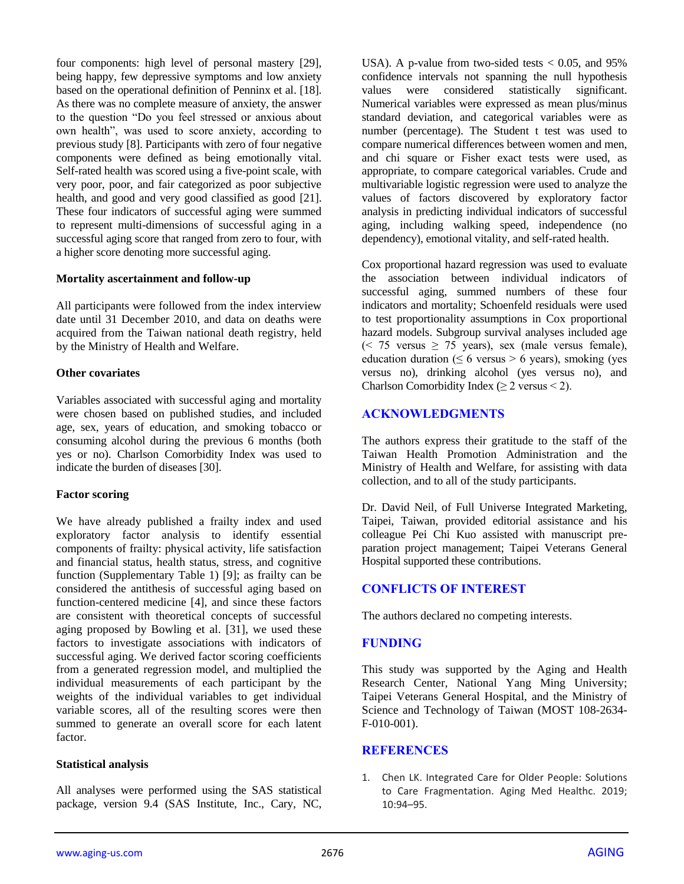four components: high level of personal mastery [29], being happy, few depressive symptoms and low anxiety based on the operational definition of Penninx et al. [18]. As there was no complete measure of anxiety, the answer to the question "Do you feel stressed or anxious about own health", was used to score anxiety, according to previous study [8]. Participants with zero of four negative components were defined as being emotionally vital. Self-rated health was scored using a five-point scale, with very poor, poor, and fair categorized as poor subjective health, and good and very good classified as good [21]. These four indicators of successful aging were summed to represent multi-dimensions of successful aging in a successful aging score that ranged from zero to four, with a higher score denoting more successful aging.

#### **Mortality ascertainment and follow-up**

All participants were followed from the index interview date until 31 December 2010, and data on deaths were acquired from the Taiwan national death registry, held by the Ministry of Health and Welfare.

#### **Other covariates**

Variables associated with successful aging and mortality were chosen based on published studies, and included age, sex, years of education, and smoking tobacco or consuming alcohol during the previous 6 months (both yes or no). Charlson Comorbidity Index was used to indicate the burden of diseases [30].

#### **Factor scoring**

We have already published a frailty index and used exploratory factor analysis to identify essential components of frailty: physical activity, life satisfaction and financial status, health status, stress, and cognitive function (Supplementary Table 1) [9]; as frailty can be considered the antithesis of successful aging based on function-centered medicine [4], and since these factors are consistent with theoretical concepts of successful aging proposed by Bowling et al.  $\overline{31}$ , we used these factors to investigate associations with indicators of successful aging. We derived factor scoring coefficients from a generated regression model, and multiplied the individual measurements of each participant by the weights of the individual variables to get individual variable scores, all of the resulting scores were then summed to generate an overall score for each latent factor.

#### **Statistical analysis**

All analyses were performed using the SAS statistical package, version 9.4 (SAS Institute, Inc., Cary, NC,

USA). A p-value from two-sided tests  $< 0.05$ , and 95% confidence intervals not spanning the null hypothesis values were considered statistically significant. Numerical variables were expressed as mean plus/minus standard deviation, and categorical variables were as number (percentage). The Student t test was used to compare numerical differences between women and men, and chi square or Fisher exact tests were used, as appropriate, to compare categorical variables. Crude and multivariable logistic regression were used to analyze the values of factors discovered by exploratory factor analysis in predicting individual indicators of successful aging, including walking speed, independence (no dependency), emotional vitality, and self-rated health.

Cox proportional hazard regression was used to evaluate the association between individual indicators of successful aging, summed numbers of these four indicators and mortality; Schoenfeld residuals were used to test proportionality assumptions in Cox proportional hazard models. Subgroup survival analyses included age  $\approx$  75 versus  $\geq$  75 years), sex (male versus female), education duration ( $\leq 6$  versus > 6 years), smoking (yes versus no), drinking alcohol (yes versus no), and Charlson Comorbidity Index ( $\geq 2$  versus < 2).

### **ACKNOWLEDGMENTS**

The authors express their gratitude to the staff of the Taiwan Health Promotion Administration and the Ministry of Health and Welfare, for assisting with data collection, and to all of the study participants.

Dr. David Neil, of Full Universe Integrated Marketing, Taipei, Taiwan, provided editorial assistance and his colleague Pei Chi Kuo assisted with manuscript preparation project management; Taipei Veterans General Hospital supported these contributions.

## **CONFLICTS OF INTEREST**

The authors declared no competing interests.

## **FUNDING**

This study was supported by the Aging and Health Research Center, National Yang Ming University; Taipei Veterans General Hospital, and the Ministry of Science and Technology of Taiwan (MOST 108-2634- F-010-001).

#### **REFERENCES**

1. Chen LK. Integrated Care for Older People: Solutions to Care Fragmentation. Aging Med Healthc. 2019; 10:94–95.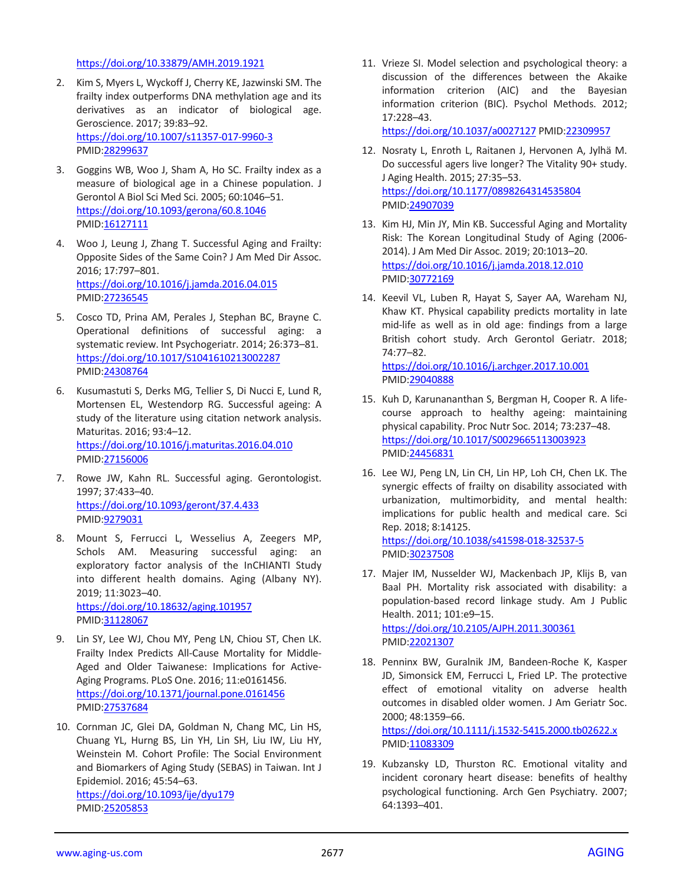#### <https://doi.org/10.33879/AMH.2019.1921>

- 2. Kim S, Myers L, Wyckoff J, Cherry KE, Jazwinski SM. The frailty index outperforms DNA methylation age and its derivatives as an indicator of biological age. Geroscience. 2017; 39:83–92. <https://doi.org/10.1007/s11357-017-9960-3> PMID[:28299637](https://www.ncbi.nlm.nih.gov/pubmed/28299637)
- 3. Goggins WB, Woo J, Sham A, Ho SC. Frailty index as a measure of biological age in a Chinese population. J Gerontol A Biol Sci Med Sci. 2005; 60:1046–51. <https://doi.org/10.1093/gerona/60.8.1046> PMID[:16127111](https://www.ncbi.nlm.nih.gov/pubmed/16127111)
- 4. Woo J, Leung J, Zhang T. Successful Aging and Frailty: Opposite Sides of the Same Coin? J Am Med Dir Assoc. 2016; 17:797–801. <https://doi.org/10.1016/j.jamda.2016.04.015> PMID[:27236545](https://www.ncbi.nlm.nih.gov/pubmed/27236545)
- 5. Cosco TD, Prina AM, Perales J, Stephan BC, Brayne C. Operational definitions of successful aging: a systematic review. Int Psychogeriatr. 2014; 26:373–81. <https://doi.org/10.1017/S1041610213002287> PMID[:24308764](https://www.ncbi.nlm.nih.gov/pubmed/24308764)
- 6. Kusumastuti S, Derks MG, Tellier S, Di Nucci E, Lund R, Mortensen EL, Westendorp RG. Successful ageing: A study of the literature using citation network analysis. Maturitas. 2016; 93:4–12. <https://doi.org/10.1016/j.maturitas.2016.04.010> PMID[:27156006](https://www.ncbi.nlm.nih.gov/pubmed/27156006)
- 7. Rowe JW, Kahn RL. Successful aging. Gerontologist. 1997; 37:433–40. <https://doi.org/10.1093/geront/37.4.433> PMID[:9279031](https://www.ncbi.nlm.nih.gov/pubmed/9279031)
- 8. Mount S, Ferrucci L, Wesselius A, Zeegers MP, Schols AM. Measuring successful aging: an exploratory factor analysis of the InCHIANTI Study into different health domains. Aging (Albany NY). 2019; 11:3023–40. <https://doi.org/10.18632/aging.101957> PMID[:31128067](https://www.ncbi.nlm.nih.gov/pubmed/31128067)
- 9. Lin SY, Lee WJ, Chou MY, Peng LN, Chiou ST, Chen LK. Frailty Index Predicts All-Cause Mortality for Middle-Aged and Older Taiwanese: Implications for Active-Aging Programs. PLoS One. 2016; 11:e0161456. <https://doi.org/10.1371/journal.pone.0161456> PMID[:27537684](https://www.ncbi.nlm.nih.gov/pubmed/27537684)
- 10. Cornman JC, Glei DA, Goldman N, Chang MC, Lin HS, Chuang YL, Hurng BS, Lin YH, Lin SH, Liu IW, Liu HY, Weinstein M. Cohort Profile: The Social Environment and Biomarkers of Aging Study (SEBAS) in Taiwan. Int J Epidemiol. 2016; 45:54–63. <https://doi.org/10.1093/ije/dyu179> PMID[:25205853](https://www.ncbi.nlm.nih.gov/pubmed/25205853)

11. Vrieze SI. Model selection and psychological theory: a discussion of the differences between the Akaike information criterion (AIC) and the Bayesian information criterion (BIC). Psychol Methods. 2012; 17:228–43.

<https://doi.org/10.1037/a0027127> PMID[:22309957](https://www.ncbi.nlm.nih.gov/pubmed/22309957)

- 12. Nosraty L, Enroth L, Raitanen J, Hervonen A, Jylhä M. Do successful agers live longer? The Vitality 90+ study. J Aging Health. 2015; 27:35–53. <https://doi.org/10.1177/0898264314535804> PMI[D:24907039](https://www.ncbi.nlm.nih.gov/pubmed/24907039)
- 13. Kim HJ, Min JY, Min KB. Successful Aging and Mortality Risk: The Korean Longitudinal Study of Aging (2006- 2014). J Am Med Dir Assoc. 2019; 20:1013–20. <https://doi.org/10.1016/j.jamda.2018.12.010> PMI[D:30772169](https://www.ncbi.nlm.nih.gov/pubmed/30772169)
- 14. Keevil VL, Luben R, Hayat S, Sayer AA, Wareham NJ, Khaw KT. Physical capability predicts mortality in late mid-life as well as in old age: findings from a large British cohort study. Arch Gerontol Geriatr. 2018; 74:77–82.

<https://doi.org/10.1016/j.archger.2017.10.001> PMI[D:29040888](https://www.ncbi.nlm.nih.gov/pubmed/29040888)

- 15. Kuh D, Karunananthan S, Bergman H, Cooper R. A lifecourse approach to healthy ageing: maintaining physical capability. Proc Nutr Soc. 2014; 73:237–48. <https://doi.org/10.1017/S0029665113003923> PMI[D:24456831](https://www.ncbi.nlm.nih.gov/pubmed/24456831)
- 16. Lee WJ, Peng LN, Lin CH, Lin HP, Loh CH, Chen LK. The synergic effects of frailty on disability associated with urbanization, multimorbidity, and mental health: implications for public health and medical care. Sci Rep. 2018; 8:14125.

<https://doi.org/10.1038/s41598-018-32537-5> PMI[D:30237508](https://www.ncbi.nlm.nih.gov/pubmed/30237508)

- 17. Majer IM, Nusselder WJ, Mackenbach JP, Klijs B, van Baal PH. Mortality risk associated with disability: a population-based record linkage study. Am J Public Health. 2011; 101:e9–15. <https://doi.org/10.2105/AJPH.2011.300361> PMI[D:22021307](https://www.ncbi.nlm.nih.gov/pubmed/22021307)
- 18. Penninx BW, Guralnik JM, Bandeen-Roche K, Kasper JD, Simonsick EM, Ferrucci L, Fried LP. The protective effect of emotional vitality on adverse health outcomes in disabled older women. J Am Geriatr Soc. 2000; 48:1359–66. <https://doi.org/10.1111/j.1532-5415.2000.tb02622.x> PMI[D:11083309](https://www.ncbi.nlm.nih.gov/pubmed/11083309)

19. Kubzansky LD, Thurston RC. Emotional vitality and incident coronary heart disease: benefits of healthy psychological functioning. Arch Gen Psychiatry. 2007; 64:1393–401.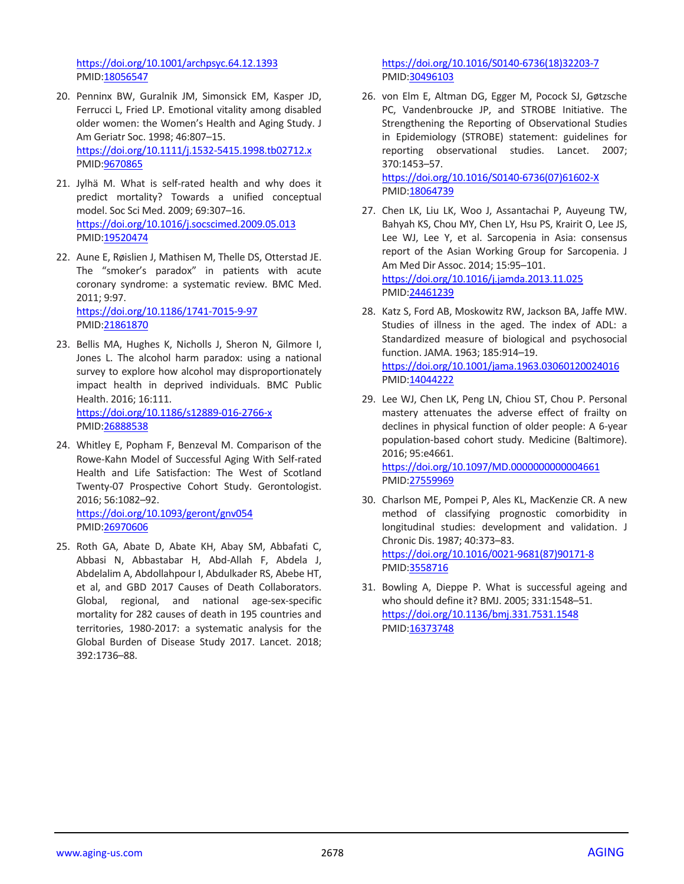<https://doi.org/10.1001/archpsyc.64.12.1393> PMID[:18056547](https://www.ncbi.nlm.nih.gov/pubmed/18056547)

- 20. Penninx BW, Guralnik JM, Simonsick EM, Kasper JD, Ferrucci L, Fried LP. Emotional vitality among disabled older women: the Women's Health and Aging Study. J Am Geriatr Soc. 1998; 46:807–15. <https://doi.org/10.1111/j.1532-5415.1998.tb02712.x> PMID[:9670865](https://www.ncbi.nlm.nih.gov/pubmed/9670865)
- 21. Jylhä M. What is self-rated health and why does it predict mortality? Towards a unified conceptual model. Soc Sci Med. 2009; 69:307–16. <https://doi.org/10.1016/j.socscimed.2009.05.013> PMID[:19520474](https://www.ncbi.nlm.nih.gov/pubmed/19520474)
- 22. Aune E, Røislien J, Mathisen M, Thelle DS, Otterstad JE. The "smoker's paradox" in patients with acute coronary syndrome: a systematic review. BMC Med. 2011; 9:97. <https://doi.org/10.1186/1741-7015-9-97>

PMID[:21861870](https://www.ncbi.nlm.nih.gov/pubmed/21861870)

- 23. Bellis MA, Hughes K, Nicholls J, Sheron N, Gilmore I, Jones L. The alcohol harm paradox: using a national survey to explore how alcohol may disproportionately impact health in deprived individuals. BMC Public Health. 2016; 16:111. <https://doi.org/10.1186/s12889-016-2766-x> PMID[:26888538](https://www.ncbi.nlm.nih.gov/pubmed/26888538)
- 24. Whitley E, Popham F, Benzeval M. Comparison of the Rowe-Kahn Model of Successful Aging With Self-rated Health and Life Satisfaction: The West of Scotland Twenty-07 Prospective Cohort Study. Gerontologist. 2016; 56:1082–92.

<https://doi.org/10.1093/geront/gnv054> PMID[:26970606](https://www.ncbi.nlm.nih.gov/pubmed/26970606)

25. Roth GA, Abate D, Abate KH, Abay SM, Abbafati C, Abbasi N, Abbastabar H, Abd-Allah F, Abdela J, Abdelalim A, Abdollahpour I, Abdulkader RS, Abebe HT, et al, and GBD 2017 Causes of Death Collaborators. Global, regional, and national age-sex-specific mortality for 282 causes of death in 195 countries and territories, 1980-2017: a systematic analysis for the Global Burden of Disease Study 2017. Lancet. 2018; 392:1736–88.

[https://doi.org/10.1016/S0140-6736\(18\)32203-7](https://doi.org/10.1016/S0140-6736(18)32203-7) PMI[D:30496103](https://www.ncbi.nlm.nih.gov/pubmed/30496103)

26. von Elm E, Altman DG, Egger M, Pocock SJ, Gøtzsche PC, Vandenbroucke JP, and STROBE Initiative. The Strengthening the Reporting of Observational Studies in Epidemiology (STROBE) statement: guidelines for reporting observational studies. Lancet. 2007; 370:1453–57. [https://doi.org/10.1016/S0140-6736\(07\)61602-X](https://doi.org/10.1016/S0140-6736(07)61602-X)

PMI[D:18064739](https://www.ncbi.nlm.nih.gov/pubmed/18064739)

- 27. Chen LK, Liu LK, Woo J, Assantachai P, Auyeung TW, Bahyah KS, Chou MY, Chen LY, Hsu PS, Krairit O, Lee JS, Lee WJ, Lee Y, et al. Sarcopenia in Asia: consensus report of the Asian Working Group for Sarcopenia. J Am Med Dir Assoc. 2014; 15:95–101. <https://doi.org/10.1016/j.jamda.2013.11.025> PMI[D:24461239](https://www.ncbi.nlm.nih.gov/pubmed/24461239)
- 28. Katz S, Ford AB, Moskowitz RW, Jackson BA, Jaffe MW. Studies of illness in the aged. The index of ADL: a Standardized measure of biological and psychosocial function. JAMA. 1963; 185:914–19. <https://doi.org/10.1001/jama.1963.03060120024016> PMI[D:14044222](https://www.ncbi.nlm.nih.gov/pubmed/14044222)
- 29. Lee WJ, Chen LK, Peng LN, Chiou ST, Chou P. Personal mastery attenuates the adverse effect of frailty on declines in physical function of older people: A 6-year population-based cohort study. Medicine (Baltimore). 2016; 95:e4661.

<https://doi.org/10.1097/MD.0000000000004661> PMI[D:27559969](https://www.ncbi.nlm.nih.gov/pubmed/27559969)

- 30. Charlson ME, Pompei P, Ales KL, MacKenzie CR. A new method of classifying prognostic comorbidity in longitudinal studies: development and validation. J Chronic Dis. 1987; 40:373–83. [https://doi.org/10.1016/0021-9681\(87\)90171-8](https://doi.org/10.1016/0021-9681(87)90171-8) PMI[D:3558716](https://www.ncbi.nlm.nih.gov/pubmed/3558716)
- 31. Bowling A, Dieppe P. What is successful ageing and who should define it? BMJ. 2005; 331:1548–51. <https://doi.org/10.1136/bmj.331.7531.1548> PMI[D:16373748](https://www.ncbi.nlm.nih.gov/pubmed/16373748)